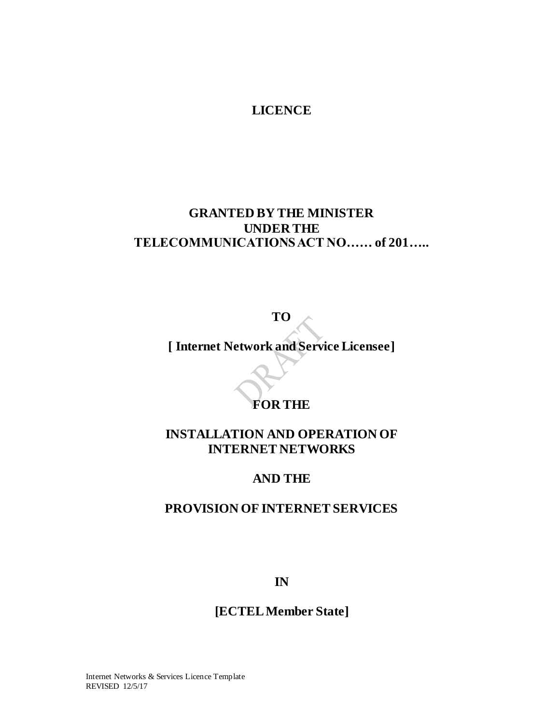## **LICENCE**

# <span id="page-0-0"></span>**GRANTED BY THE MINISTER UNDER THE TELECOMMUNICATIONS ACT NO…… of 201…..**

**TO**

**[ Internet Network and Service Licensee]**

# **FOR THE**

# **INSTALLATION AND OPERATION OF INTERNET NETWORKS**

# **AND THE**

# **PROVISION OF INTERNET SERVICES**

**IN**

# **[ECTELMember State]**

Internet Networks & Services Licence Template REVISED 12/5/17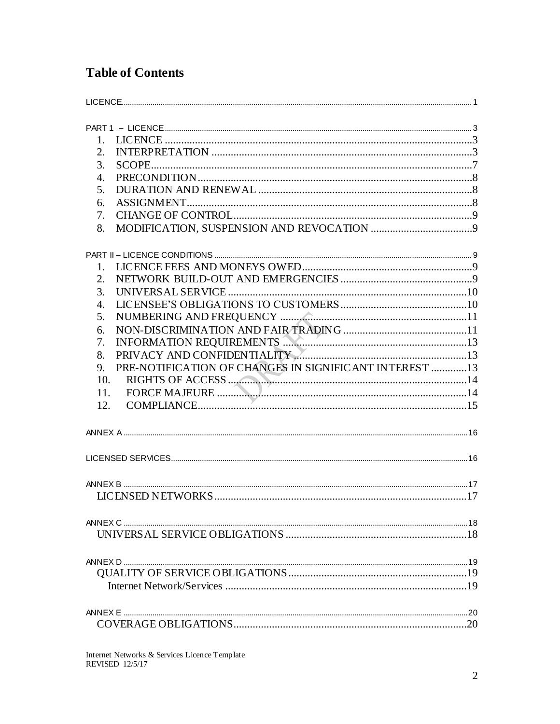# **Table of Contents**

| 1.                                                           |  |
|--------------------------------------------------------------|--|
| 2.                                                           |  |
| 3.                                                           |  |
| $\overline{4}$ .                                             |  |
| 5.                                                           |  |
| 6.                                                           |  |
| 7.                                                           |  |
| 8.                                                           |  |
|                                                              |  |
| 1.                                                           |  |
| 2.                                                           |  |
| 3.                                                           |  |
| $\overline{4}$ .                                             |  |
| 5.                                                           |  |
| 6.                                                           |  |
| INFORMATION REQUIREMENTS<br>7.                               |  |
| 8.                                                           |  |
| PRE-NOTIFICATION OF CHANGES IN SIGNIFICANT INTEREST 13<br>9. |  |
| 10.                                                          |  |
| 11.                                                          |  |
| 12.                                                          |  |
|                                                              |  |
|                                                              |  |
|                                                              |  |
|                                                              |  |
|                                                              |  |
|                                                              |  |
|                                                              |  |
|                                                              |  |
|                                                              |  |
|                                                              |  |
|                                                              |  |
|                                                              |  |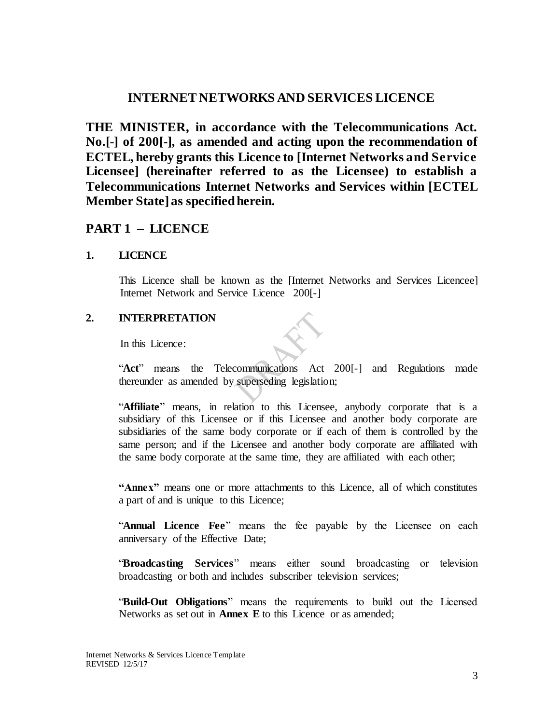## **INTERNET NETWORKS AND SERVICES LICENCE**

**THE MINISTER, in accordance with the Telecommunications Act. No.[-] of 200[-], as amended and acting upon the recommendation of ECTEL, hereby grants this Licence to [Internet Networks and Service Licensee] (hereinafter referred to as the Licensee) to establish a Telecommunications Internet Networks and Services within [ECTEL Member State] as specified herein.**

## <span id="page-2-0"></span>**PART 1 – LICENCE**

### <span id="page-2-1"></span>**1. LICENCE**

This Licence shall be known as the [Internet Networks and Services Licencee] Internet Network and Service Licence 200[-]

### <span id="page-2-2"></span>**2. INTERPRETATION**

In this Licence:

"**Act**" means the Telecommunications Act 200[-] and Regulations made thereunder as amended by superseding legislation;

"**Affiliate**" means, in relation to this Licensee, anybody corporate that is a subsidiary of this Licensee or if this Licensee and another body corporate are subsidiaries of the same body corporate or if each of them is controlled by the same person; and if the Licensee and another body corporate are affiliated with the same body corporate at the same time, they are affiliated with each other;

**"Annex"** means one or more attachments to this Licence, all of which constitutes a part of and is unique to this Licence;

"**Annual Licence Fee**" means the fee payable by the Licensee on each anniversary of the Effective Date;

"**Broadcasting Services**" means either sound broadcasting or television broadcasting or both and includes subscriber television services;

"**Build-Out Obligations**" means the requirements to build out the Licensed Networks as set out in **Annex E** to this Licence or as amended;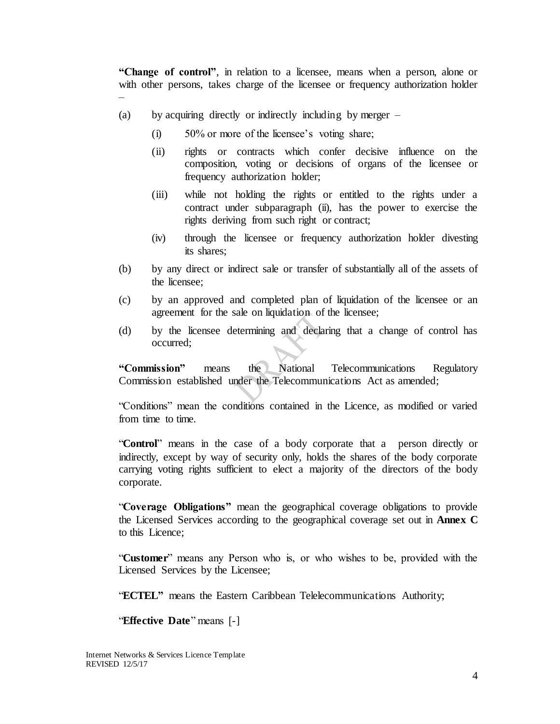**"Change of control"**, in relation to a licensee, means when a person, alone or with other persons, takes charge of the licensee or frequency authorization holder

(a) by acquiring directly or indirectly including by merger –

–

- (i) 50% or more of the licensee's voting share;
- (ii) rights or contracts which confer decisive influence on the composition, voting or decisions of organs of the licensee or frequency authorization holder;
- (iii) while not holding the rights or entitled to the rights under a contract under subparagraph (ii), has the power to exercise the rights deriving from such right or contract;
- (iv) through the licensee or frequency authorization holder divesting its shares;
- (b) by any direct or indirect sale or transfer of substantially all of the assets of the licensee;
- (c) by an approved and completed plan of liquidation of the licensee or an agreement for the sale on liquidation of the licensee;
- (d) by the licensee determining and declaring that a change of control has occurred;

**"Commission"** means the National Telecommunications Regulatory Commission established under the Telecommunications Act as amended;

"Conditions" mean the conditions contained in the Licence, as modified or varied from time to time.

"**Control**" means in the case of a body corporate that a person directly or indirectly, except by way of security only, holds the shares of the body corporate carrying voting rights sufficient to elect a majority of the directors of the body corporate.

"**Coverage Obligations"** mean the geographical coverage obligations to provide the Licensed Services according to the geographical coverage set out in **Annex C** to this Licence;

"**Customer**" means any Person who is, or who wishes to be, provided with the Licensed Services by the Licensee;

"**ECTEL"** means the Eastern Caribbean Telelecommunications Authority;

"**Effective Date**" means [-]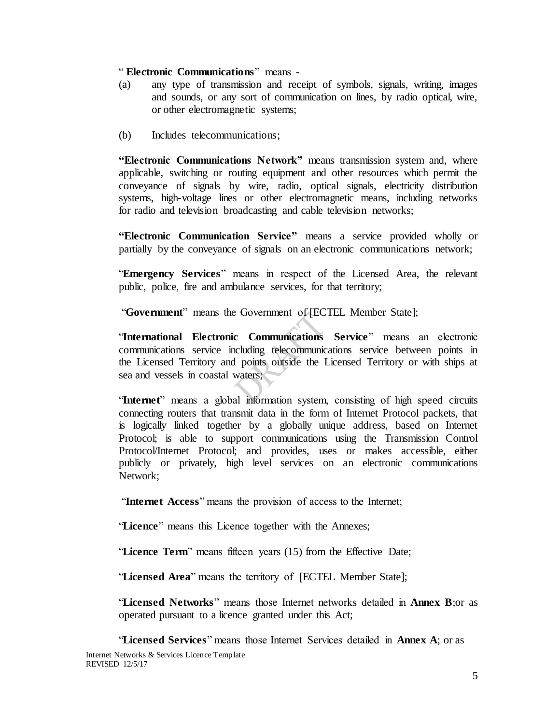#### " **Electronic Communications**" means -

- (a) any type of transmission and receipt of symbols, signals, writing, images and sounds, or any sort of communication on lines, by radio optical, wire, or other electromagnetic systems;
- (b) Includes telecommunications;

**"Electronic Communications Network"** means transmission system and, where applicable, switching or routing equipment and other resources which permit the conveyance of signals by wire, radio, optical signals, electricity distribution systems, high-voltage lines or other electromagnetic means, including networks for radio and television broadcasting and cable television networks;

**"Electronic Communication Service"** means a service provided wholly or partially by the conveyance of signals on an electronic communications network;

"**Emergency Services**" means in respect of the Licensed Area, the relevant public, police, fire and ambulance services, for that territory;

"**Government**" means the Government of [ECTEL Member State];

"**International Electronic Communications Service**" means an electronic communications service including telecommunications service between points in the Licensed Territory and points outside the Licensed Territory or with ships at sea and vessels in coastal waters;

"**Internet**" means a global information system, consisting of high speed circuits connecting routers that transmit data in the form of Internet Protocol packets, that is logically linked together by a globally unique address, based on Internet Protocol; is able to support communications using the Transmission Control Protocol/Internet Protocol; and provides, uses or makes accessible, either publicly or privately, high level services on an electronic communications Network;

"**Internet Access**" means the provision of access to the Internet;

"Licence" means this Licence together with the Annexes;

"Licence Term" means fifteen years (15) from the Effective Date;

"**Licensed Area**" means the territory of [ECTEL Member State];

"**Licensed Networks**" means those Internet networks detailed in **Annex B**;or as operated pursuant to a licence granted under this Act;

Internet Networks & Services Licence Template REVISED 12/5/17 "**Licensed Services**" means those Internet Services detailed in **Annex A**; or as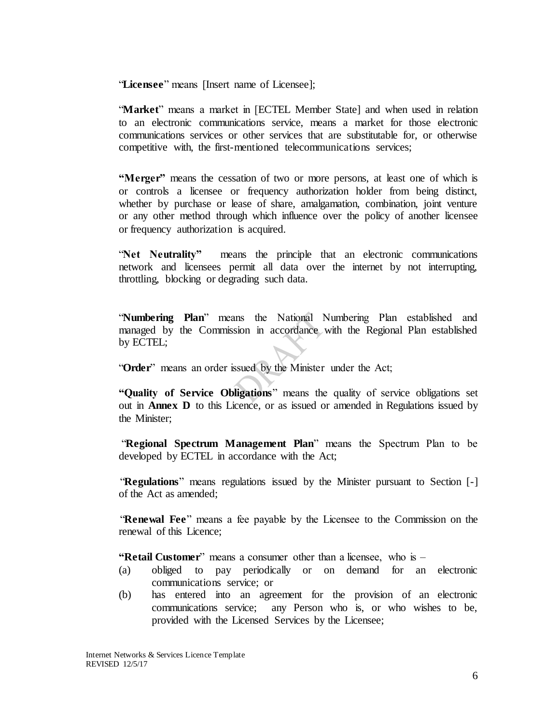"**Licensee**" means [Insert name of Licensee];

"**Market**" means a market in [ECTEL Member State] and when used in relation to an electronic communications service, means a market for those electronic communications services or other services that are substitutable for, or otherwise competitive with, the first-mentioned telecommunications services;

**"Merger"** means the cessation of two or more persons, at least one of which is or controls a licensee or frequency authorization holder from being distinct, whether by purchase or lease of share, amalgamation, combination, joint venture or any other method through which influence over the policy of another licensee or frequency authorization is acquired.

"**Net Neutrality"** means the principle that an electronic communications network and licensees permit all data over the internet by not interrupting, throttling, blocking or degrading such data.

"**Numbering Plan**" means the National Numbering Plan established and managed by the Commission in accordance with the Regional Plan established by ECTEL;

"**Order**" means an order issued by the Minister under the Act;

**"Quality of Service Obligations**" means the quality of service obligations set out in **Annex D** to this Licence, or as issued or amended in Regulations issued by the Minister;

"**Regional Spectrum Management Plan**" means the Spectrum Plan to be developed by ECTEL in accordance with the Act;

"**Regulations**" means regulations issued by the Minister pursuant to Section [-] of the Act as amended;

"**Renewal Fee**" means a fee payable by the Licensee to the Commission on the renewal of this Licence;

**"Retail Customer**" means a consumer other than a licensee, who is –

- (a) obliged to pay periodically or on demand for an electronic communications service; or
- (b) has entered into an agreement for the provision of an electronic communications service; any Person who is, or who wishes to be, provided with the Licensed Services by the Licensee;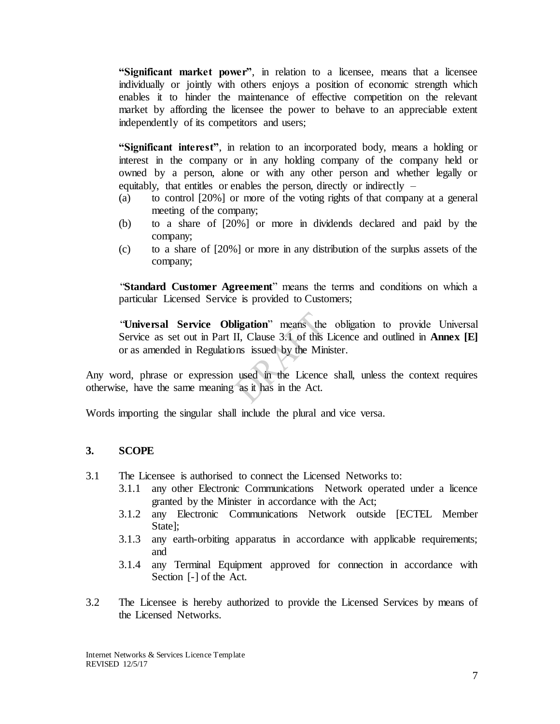**"Significant market power"**, in relation to a licensee, means that a licensee individually or jointly with others enjoys a position of economic strength which enables it to hinder the maintenance of effective competition on the relevant market by affording the licensee the power to behave to an appreciable extent independently of its competitors and users;

**"Significant interest"**, in relation to an incorporated body, means a holding or interest in the company or in any holding company of the company held or owned by a person, alone or with any other person and whether legally or equitably, that entitles or enables the person, directly or indirectly  $-$ 

- (a) to control [20%] or more of the voting rights of that company at a general meeting of the company;
- (b) to a share of [20%] or more in dividends declared and paid by the company;
- (c) to a share of [20%] or more in any distribution of the surplus assets of the company;

"**Standard Customer Agreement**" means the terms and conditions on which a particular Licensed Service is provided to Customers;

"**Universal Service Obligation**" means the obligation to provide Universal Service as set out in Part II, Clause 3.1 of this Licence and outlined in **Annex [E]** or as amended in Regulations issued by the Minister.

Any word, phrase or expression used in the Licence shall, unless the context requires otherwise, have the same meaning as it has in the Act.

Words importing the singular shall include the plural and vice versa.

### <span id="page-6-0"></span>**3. SCOPE**

- 3.1 The Licensee is authorised to connect the Licensed Networks to:
	- 3.1.1 any other Electronic Communications Network operated under a licence granted by the Minister in accordance with the Act;
		- 3.1.2 any Electronic Communications Network outside [ECTEL Member State];
		- 3.1.3 any earth-orbiting apparatus in accordance with applicable requirements; and
		- 3.1.4 any Terminal Equipment approved for connection in accordance with Section [-] of the Act.
- 3.2 The Licensee is hereby authorized to provide the Licensed Services by means of the Licensed Networks.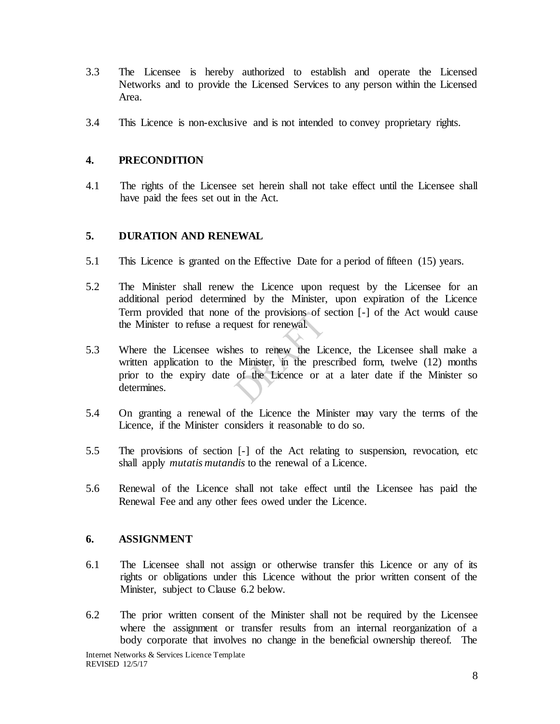- 3.3 The Licensee is hereby authorized to establish and operate the Licensed Networks and to provide the Licensed Services to any person within the Licensed Area.
- 3.4 This Licence is non-exclusive and is not intended to convey proprietary rights.

#### <span id="page-7-0"></span>**4. PRECONDITION**

4.1 The rights of the Licensee set herein shall not take effect until the Licensee shall have paid the fees set out in the Act.

#### <span id="page-7-1"></span>**5. DURATION AND RENEWAL**

- 5.1 This Licence is granted on the Effective Date for a period of fifteen (15) years.
- 5.2 The Minister shall renew the Licence upon request by the Licensee for an additional period determined by the Minister, upon expiration of the Licence Term provided that none of the provisions of section [-] of the Act would cause the Minister to refuse a request for renewal.
- 5.3 Where the Licensee wishes to renew the Licence, the Licensee shall make a written application to the Minister, in the prescribed form, twelve (12) months prior to the expiry date of the Licence or at a later date if the Minister so determines.
- 5.4 On granting a renewal of the Licence the Minister may vary the terms of the Licence, if the Minister considers it reasonable to do so.
- 5.5 The provisions of section [-] of the Act relating to suspension, revocation, etc shall apply *mutatis mutandis* to the renewal of a Licence.
- 5.6 Renewal of the Licence shall not take effect until the Licensee has paid the Renewal Fee and any other fees owed under the Licence.

#### <span id="page-7-2"></span>**6. ASSIGNMENT**

- 6.1 The Licensee shall not assign or otherwise transfer this Licence or any of its rights or obligations under this Licence without the prior written consent of the Minister, subject to Clause 6.2 below.
- 6.2 The prior written consent of the Minister shall not be required by the Licensee where the assignment or transfer results from an internal reorganization of a body corporate that involves no change in the beneficial ownership thereof. The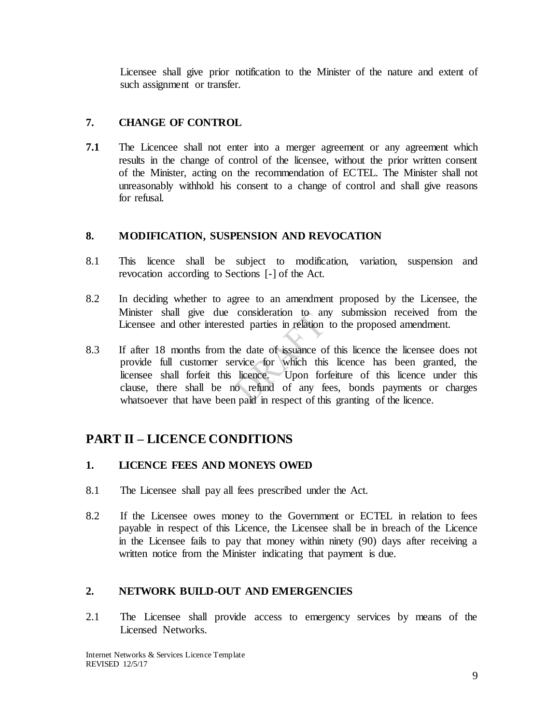Licensee shall give prior notification to the Minister of the nature and extent of such assignment or transfer.

## <span id="page-8-0"></span>**7. CHANGE OF CONTROL**

**7.1** The Licencee shall not enter into a merger agreement or any agreement which results in the change of control of the licensee, without the prior written consent of the Minister, acting on the recommendation of ECTEL. The Minister shall not unreasonably withhold his consent to a change of control and shall give reasons for refusal.

## <span id="page-8-1"></span>**8. MODIFICATION, SUSPENSION AND REVOCATION**

- 8.1 This licence shall be subject to modification, variation, suspension and revocation according to Sections [-] of the Act.
- 8.2 In deciding whether to agree to an amendment proposed by the Licensee, the Minister shall give due consideration to any submission received from the Licensee and other interested parties in relation to the proposed amendment.
- 8.3 If after 18 months from the date of issuance of this licence the licensee does not provide full customer service for which this licence has been granted, the licensee shall forfeit this licence. Upon forfeiture of this licence under this clause, there shall be no refund of any fees, bonds payments or charges whatsoever that have been paid in respect of this granting of the licence.

# <span id="page-8-2"></span>**PART II – LICENCE CONDITIONS**

## <span id="page-8-3"></span>**1. LICENCE FEES AND MONEYS OWED**

- 8.1 The Licensee shall pay all fees prescribed under the Act.
- 8.2 If the Licensee owes money to the Government or ECTEL in relation to fees payable in respect of this Licence, the Licensee shall be in breach of the Licence in the Licensee fails to pay that money within ninety (90) days after receiving a written notice from the Minister indicating that payment is due.

## <span id="page-8-4"></span>**2. NETWORK BUILD-OUT AND EMERGENCIES**

2.1 The Licensee shall provide access to emergency services by means of the Licensed Networks.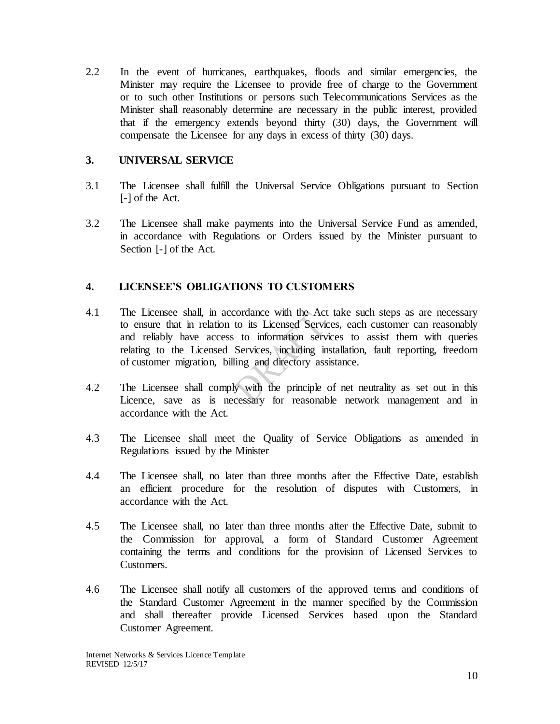2.2 In the event of hurricanes, earthquakes, floods and similar emergencies, the Minister may require the Licensee to provide free of charge to the Government or to such other Institutions or persons such Telecommunications Services as the Minister shall reasonably determine are necessary in the public interest, provided that if the emergency extends beyond thirty (30) days, the Government will compensate the Licensee for any days in excess of thirty (30) days.

#### <span id="page-9-0"></span>**3. UNIVERSAL SERVICE**

- 3.1 The Licensee shall fulfill the Universal Service Obligations pursuant to Section [-] of the Act.
- 3.2 The Licensee shall make payments into the Universal Service Fund as amended, in accordance with Regulations or Orders issued by the Minister pursuant to Section [-] of the Act.

### <span id="page-9-1"></span>**4. LICENSEE'S OBLIGATIONS TO CUSTOMERS**

- 4.1 The Licensee shall, in accordance with the Act take such steps as are necessary to ensure that in relation to its Licensed Services, each customer can reasonably and reliably have access to information services to assist them with queries relating to the Licensed Services, including installation, fault reporting, freedom of customer migration, billing and directory assistance.
- 4.2 The Licensee shall comply with the principle of net neutrality as set out in this Licence, save as is necessary for reasonable network management and in accordance with the Act.
- 4.3 The Licensee shall meet the Quality of Service Obligations as amended in Regulations issued by the Minister
- 4.4 The Licensee shall, no later than three months after the Effective Date, establish an efficient procedure for the resolution of disputes with Customers, in accordance with the Act.
- 4.5 The Licensee shall, no later than three months after the Effective Date, submit to the Commission for approval, a form of Standard Customer Agreement containing the terms and conditions for the provision of Licensed Services to Customers.
- 4.6 The Licensee shall notify all customers of the approved terms and conditions of the Standard Customer Agreement in the manner specified by the Commission and shall thereafter provide Licensed Services based upon the Standard Customer Agreement.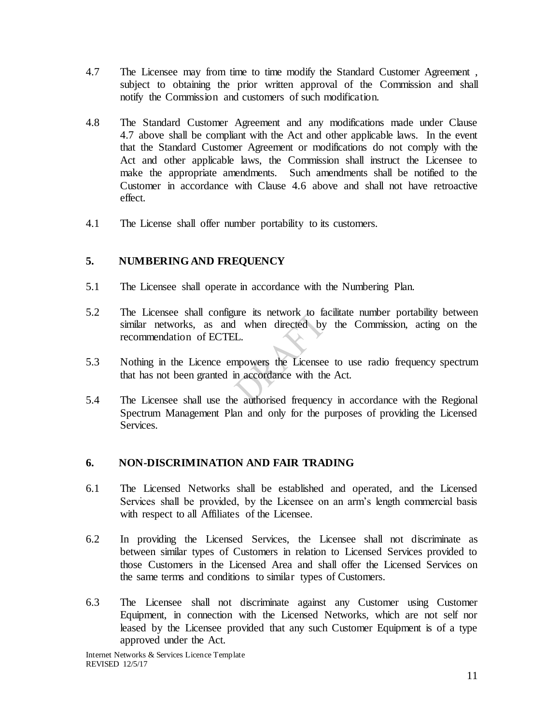- 4.7 The Licensee may from time to time modify the Standard Customer Agreement , subject to obtaining the prior written approval of the Commission and shall notify the Commission and customers of such modification.
- 4.8 The Standard Customer Agreement and any modifications made under Clause 4.7 above shall be compliant with the Act and other applicable laws. In the event that the Standard Customer Agreement or modifications do not comply with the Act and other applicable laws, the Commission shall instruct the Licensee to make the appropriate amendments. Such amendments shall be notified to the Customer in accordance with Clause 4.6 above and shall not have retroactive effect.
- 4.1 The License shall offer number portability to its customers.

## <span id="page-10-0"></span>**5. NUMBERING AND FREQUENCY**

- 5.1 The Licensee shall operate in accordance with the Numbering Plan.
- 5.2 The Licensee shall configure its network to facilitate number portability between similar networks, as and when directed by the Commission, acting on the recommendation of ECTEL.
- 5.3 Nothing in the Licence empowers the Licensee to use radio frequency spectrum that has not been granted in accordance with the Act.
- 5.4 The Licensee shall use the authorised frequency in accordance with the Regional Spectrum Management Plan and only for the purposes of providing the Licensed Services.

### <span id="page-10-1"></span>**6. NON-DISCRIMINATION AND FAIR TRADING**

- 6.1 The Licensed Networks shall be established and operated, and the Licensed Services shall be provided, by the Licensee on an arm's length commercial basis with respect to all Affiliates of the Licensee.
- 6.2 In providing the Licensed Services, the Licensee shall not discriminate as between similar types of Customers in relation to Licensed Services provided to those Customers in the Licensed Area and shall offer the Licensed Services on the same terms and conditions to similar types of Customers.
- 6.3 The Licensee shall not discriminate against any Customer using Customer Equipment, in connection with the Licensed Networks, which are not self nor leased by the Licensee provided that any such Customer Equipment is of a type approved under the Act.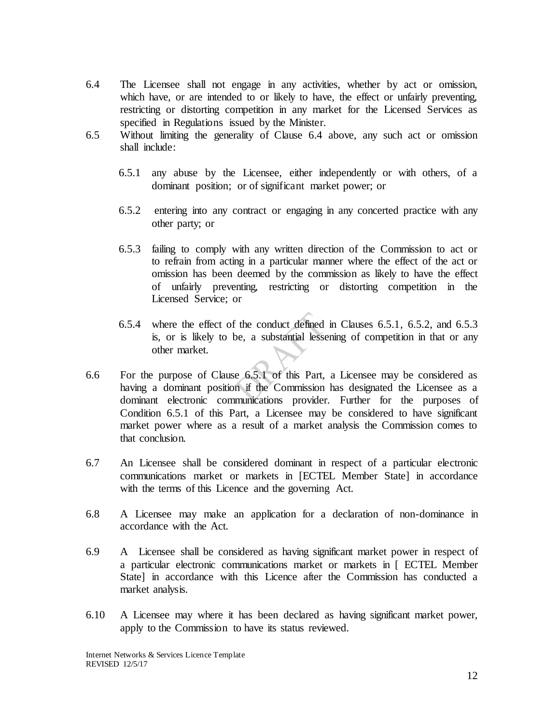- 6.4 The Licensee shall not engage in any activities, whether by act or omission, which have, or are intended to or likely to have, the effect or unfairly preventing, restricting or distorting competition in any market for the Licensed Services as specified in Regulations issued by the Minister.
- 6.5 Without limiting the generality of Clause 6.4 above, any such act or omission shall include:
	- 6.5.1 any abuse by the Licensee, either independently or with others, of a dominant position; or of significant market power; or
	- 6.5.2 entering into any contract or engaging in any concerted practice with any other party; or
	- 6.5.3 failing to comply with any written direction of the Commission to act or to refrain from acting in a particular manner where the effect of the act or omission has been deemed by the commission as likely to have the effect of unfairly preventing, restricting or distorting competition in the Licensed Service; or
	- 6.5.4 where the effect of the conduct defined in Clauses 6.5.1, 6.5.2, and 6.5.3 is, or is likely to be, a substantial lessening of competition in that or any other market.
- 6.6 For the purpose of Clause 6.5.1 of this Part, a Licensee may be considered as having a dominant position if the Commission has designated the Licensee as a dominant electronic communications provider. Further for the purposes of Condition 6.5.1 of this Part, a Licensee may be considered to have significant market power where as a result of a market analysis the Commission comes to that conclusion.
- 6.7 An Licensee shall be considered dominant in respect of a particular electronic communications market or markets in [ECTEL Member State] in accordance with the terms of this Licence and the governing Act.
- 6.8 A Licensee may make an application for a declaration of non-dominance in accordance with the Act.
- 6.9 A Licensee shall be considered as having significant market power in respect of a particular electronic communications market or markets in [ ECTEL Member State] in accordance with this Licence after the Commission has conducted a market analysis.
- 6.10 A Licensee may where it has been declared as having significant market power, apply to the Commission to have its status reviewed.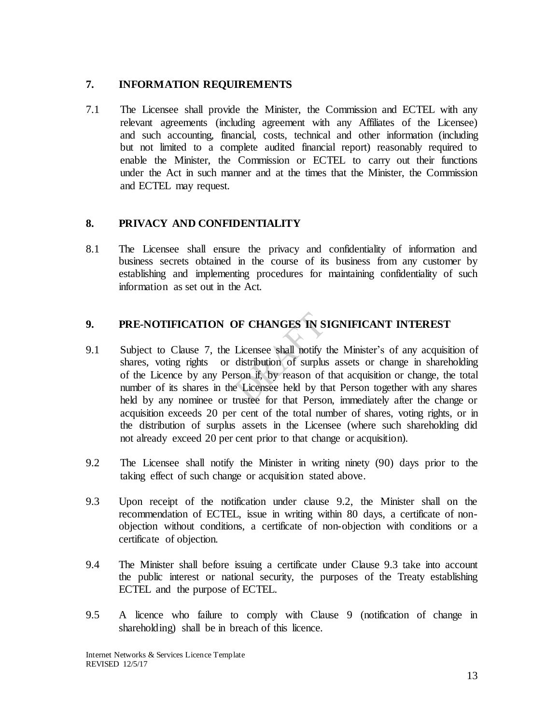## <span id="page-12-0"></span>**7. INFORMATION REQUIREMENTS**

7.1 The Licensee shall provide the Minister, the Commission and ECTEL with any relevant agreements (including agreement with any Affiliates of the Licensee) and such accounting, financial, costs, technical and other information (including but not limited to a complete audited financial report) reasonably required to enable the Minister, the Commission or ECTEL to carry out their functions under the Act in such manner and at the times that the Minister, the Commission and ECTEL may request.

## <span id="page-12-1"></span>**8. PRIVACY AND CONFIDENTIALITY**

8.1 The Licensee shall ensure the privacy and confidentiality of information and business secrets obtained in the course of its business from any customer by establishing and implementing procedures for maintaining confidentiality of such information as set out in the Act.

## <span id="page-12-2"></span>**9. PRE-NOTIFICATION OF CHANGES IN SIGNIFICANT INTEREST**

- 9.1 Subject to Clause 7, the Licensee shall notify the Minister's of any acquisition of shares, voting rights or distribution of surplus assets or change in shareholding of the Licence by any Person if, by reason of that acquisition or change, the total number of its shares in the Licensee held by that Person together with any shares held by any nominee or trustee for that Person, immediately after the change or acquisition exceeds 20 per cent of the total number of shares, voting rights, or in the distribution of surplus assets in the Licensee (where such shareholding did not already exceed 20 per cent prior to that change or acquisition).
- 9.2 The Licensee shall notify the Minister in writing ninety (90) days prior to the taking effect of such change or acquisition stated above.
- 9.3 Upon receipt of the notification under clause 9.2, the Minister shall on the recommendation of ECTEL, issue in writing within 80 days, a certificate of nonobjection without conditions, a certificate of non-objection with conditions or a certificate of objection.
- 9.4 The Minister shall before issuing a certificate under Clause 9.3 take into account the public interest or national security, the purposes of the Treaty establishing ECTEL and the purpose of ECTEL.
- 9.5 A licence who failure to comply with Clause 9 (notification of change in shareholding) shall be in breach of this licence.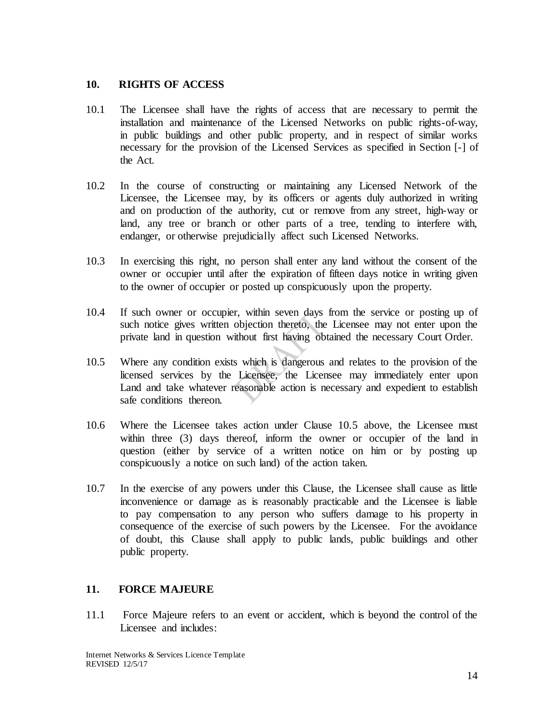#### <span id="page-13-0"></span>**10. RIGHTS OF ACCESS**

- 10.1 The Licensee shall have the rights of access that are necessary to permit the installation and maintenance of the Licensed Networks on public rights-of-way, in public buildings and other public property, and in respect of similar works necessary for the provision of the Licensed Services as specified in Section [-] of the Act.
- 10.2 In the course of constructing or maintaining any Licensed Network of the Licensee, the Licensee may, by its officers or agents duly authorized in writing and on production of the authority, cut or remove from any street, high-way or land, any tree or branch or other parts of a tree, tending to interfere with, endanger, or otherwise prejudicially affect such Licensed Networks.
- 10.3 In exercising this right, no person shall enter any land without the consent of the owner or occupier until after the expiration of fifteen days notice in writing given to the owner of occupier or posted up conspicuously upon the property.
- 10.4 If such owner or occupier, within seven days from the service or posting up of such notice gives written objection thereto, the Licensee may not enter upon the private land in question without first having obtained the necessary Court Order.
- 10.5 Where any condition exists which is dangerous and relates to the provision of the licensed services by the Licensee, the Licensee may immediately enter upon Land and take whatever reasonable action is necessary and expedient to establish safe conditions thereon.
- 10.6 Where the Licensee takes action under Clause 10.5 above, the Licensee must within three (3) days thereof, inform the owner or occupier of the land in question (either by service of a written notice on him or by posting up conspicuously a notice on such land) of the action taken.
- 10.7 In the exercise of any powers under this Clause, the Licensee shall cause as little inconvenience or damage as is reasonably practicable and the Licensee is liable to pay compensation to any person who suffers damage to his property in consequence of the exercise of such powers by the Licensee. For the avoidance of doubt, this Clause shall apply to public lands, public buildings and other public property.

### <span id="page-13-1"></span>**11. FORCE MAJEURE**

11.1 Force Majeure refers to an event or accident, which is beyond the control of the Licensee and includes: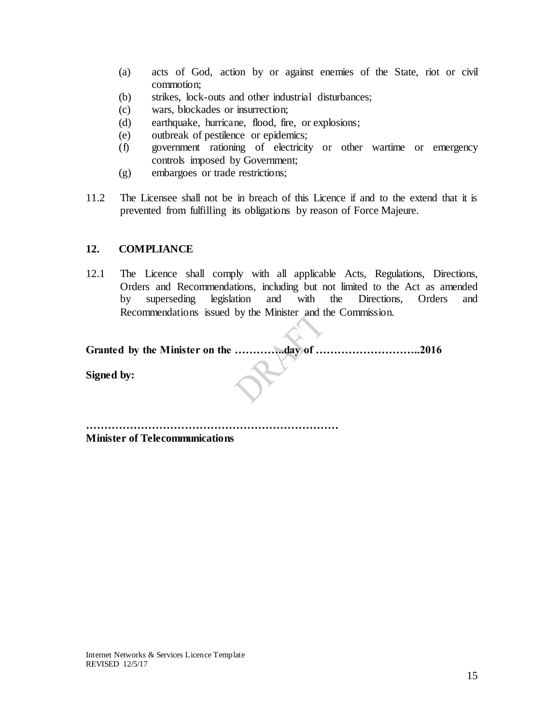- (a) acts of God, action by or against enemies of the State, riot or civil commotion;
- (b) strikes, lock-outs and other industrial disturbances;
- (c) wars, blockades or insurrection;
- (d) earthquake, hurricane, flood, fire, or explosions;
- (e) outbreak of pestilence or epidemics;
- (f) government rationing of electricity or other wartime or emergency controls imposed by Government;
- (g) embargoes or trade restrictions;
- 11.2 The Licensee shall not be in breach of this Licence if and to the extend that it is prevented from fulfilling its obligations by reason of Force Majeure.

### <span id="page-14-0"></span>**12. COMPLIANCE**

12.1 The Licence shall comply with all applicable Acts, Regulations, Directions, Orders and Recommendations, including but not limited to the Act as amended by superseding legislation and with the Directions, Orders and Recommendations issued by the Minister and the Commission.

**Granted by the Minister on the …………..day of ………………………..2016**

**Signed by:**

**……………………………………………………………**

**Minister of Telecommunications**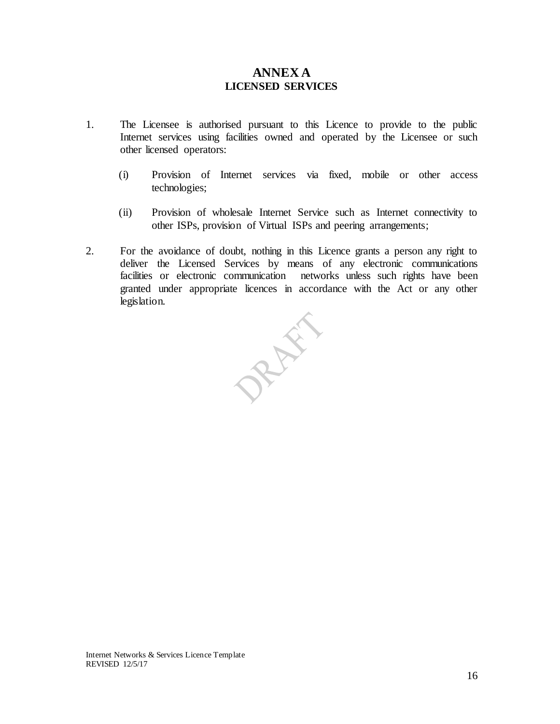## <span id="page-15-1"></span>**ANNEX A LICENSED SERVICES**

- <span id="page-15-0"></span>1. The Licensee is authorised pursuant to this Licence to provide to the public Internet services using facilities owned and operated by the Licensee or such other licensed operators:
	- (i) Provision of Internet services via fixed, mobile or other access technologies;
	- (ii) Provision of wholesale Internet Service such as Internet connectivity to other ISPs, provision of Virtual ISPs and peering arrangements;
- 2. For the avoidance of doubt, nothing in this Licence grants a person any right to deliver the Licensed Services by means of any electronic communications facilities or electronic communication networks unless such rights have been granted under appropriate licences in accordance with the Act or any other legislation.

RANT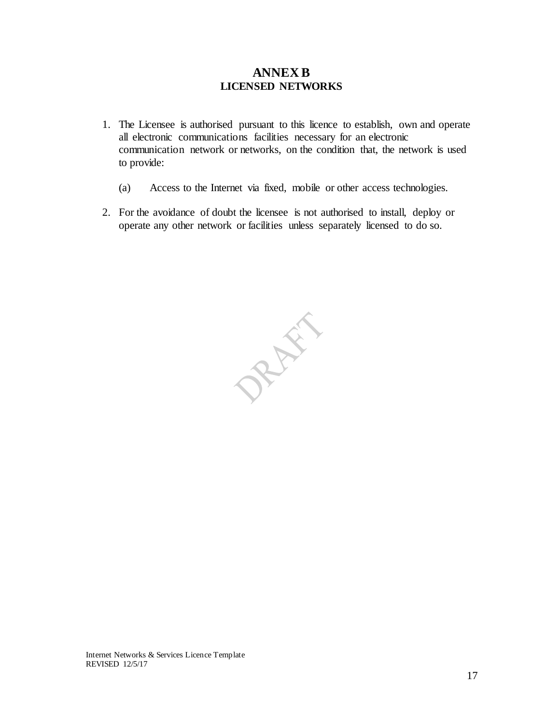## **ANNEX B LICENSED NETWORKS**

- <span id="page-16-1"></span><span id="page-16-0"></span>1. The Licensee is authorised pursuant to this licence to establish, own and operate all electronic communications facilities necessary for an electronic communication network or networks, on the condition that, the network is used to provide:
	- (a) Access to the Internet via fixed, mobile or other access technologies.
- 2. For the avoidance of doubt the licensee is not authorised to install, deploy or operate any other network or facilities unless separately licensed to do so.

PRAIL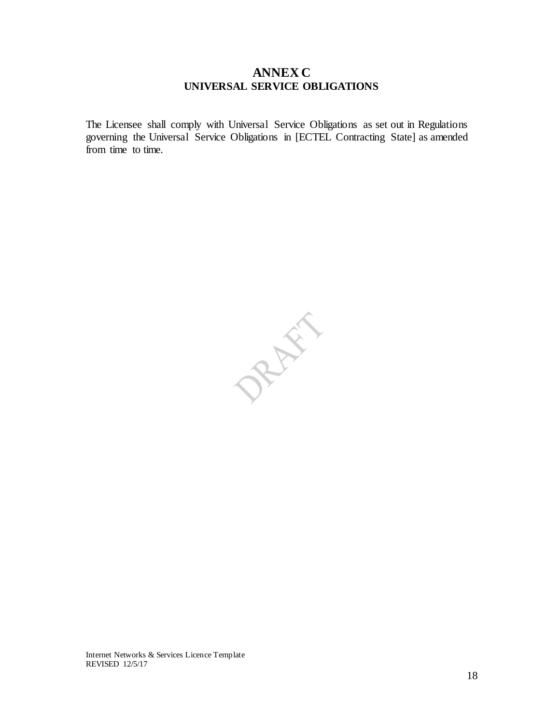## <span id="page-17-1"></span>**ANNEX C UNIVERSAL SERVICE OBLIGATIONS**

<span id="page-17-0"></span>The Licensee shall comply with Universal Service Obligations as set out in Regulations governing the Universal Service Obligations in [ECTEL Contracting State] as amended from time to time.

PREFE

Internet Networks & Services Licence Template REVISED 12/5/17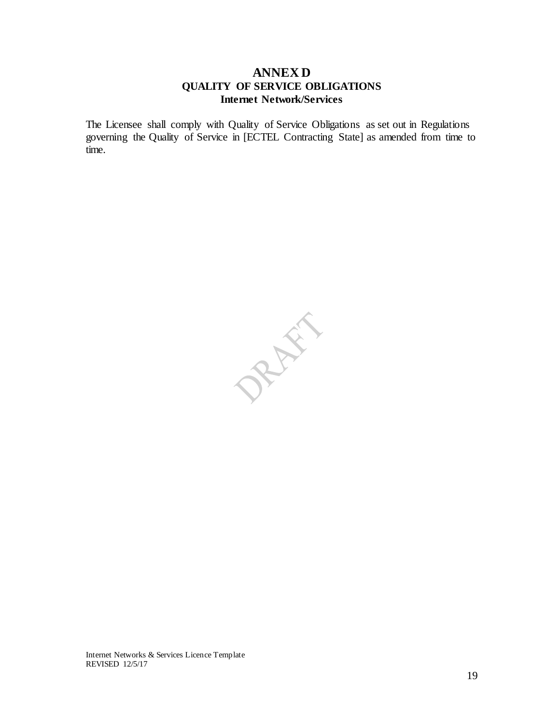## **ANNEX D QUALITY OF SERVICE OBLIGATIONS Internet Network/Services**

<span id="page-18-2"></span><span id="page-18-1"></span><span id="page-18-0"></span>The Licensee shall comply with Quality of Service Obligations as set out in Regulations governing the Quality of Service in [ECTEL Contracting State] as amended from time to time.

PRAIL